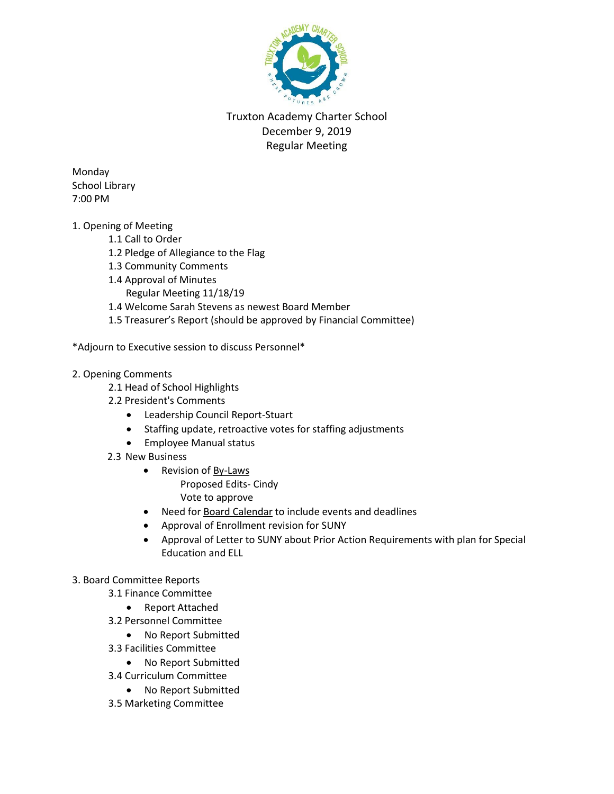

Truxton Academy Charter School December 9, 2019 Regular Meeting

Monday School Library 7:00 PM

- 1. Opening of Meeting
	- 1.1 Call to Order
	- 1.2 Pledge of Allegiance to the Flag
	- 1.3 Community Comments
	- 1.4 Approval of Minutes
		- Regular Meeting 11/18/19
	- 1.4 Welcome Sarah Stevens as newest Board Member
	- 1.5 Treasurer's Report (should be approved by Financial Committee)
- \*Adjourn to Executive session to discuss Personnel\*
- 2. Opening Comments
	- 2.1 Head of School Highlights
	- 2.2 President's Comments
		- Leadership Council Report-Stuart
		- Staffing update, retroactive votes for staffing adjustments
		- **•** Employee Manual status
	- 2.3 New Business
		- Revision of By-Laws Proposed Edits- Cindy Vote to approve
		- Need for Board Calendar to include events and deadlines
		- Approval of Enrollment revision for SUNY
		- Approval of Letter to SUNY about Prior Action Requirements with plan for Special Education and ELL

## 3. Board Committee Reports

- 3.1 Finance Committee
	- Report Attached
- 3.2 Personnel Committee
	- No Report Submitted
- 3.3 Facilities Committee
	- No Report Submitted
- 3.4 Curriculum Committee
	- No Report Submitted
- 3.5 Marketing Committee